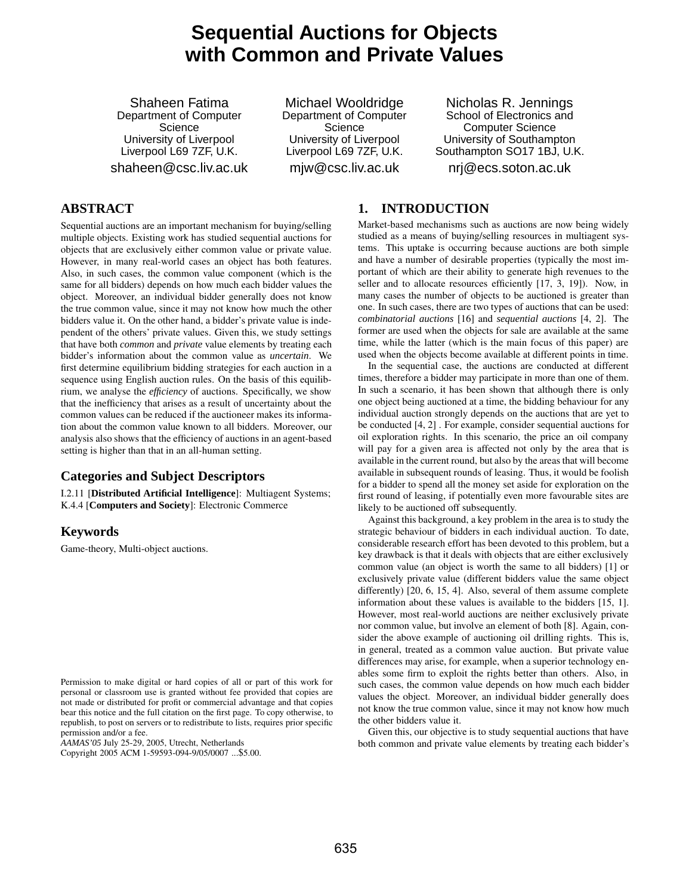# **Sequential Auctions for Objects with Common and Private Values**

Shaheen Fatima Department of Computer Science University of Liverpool Liverpool L69 7ZF, U.K. shaheen@csc.liv.ac.uk

Michael Wooldridge Department of Computer Science University of Liverpool Liverpool L69 7ZF, U.K. mjw@csc.liv.ac.uk

Nicholas R. Jennings School of Electronics and Computer Science University of Southampton Southampton SO17 1BJ, U.K. nrj@ecs.soton.ac.uk

# **ABSTRACT**

Sequential auctions are an important mechanism for buying/selling multiple objects. Existing work has studied sequential auctions for objects that are exclusively either common value or private value. However, in many real-world cases an object has both features. Also, in such cases, the common value component (which is the same for all bidders) depends on how much each bidder values the object. Moreover, an individual bidder generally does not know the true common value, since it may not know how much the other bidders value it. On the other hand, a bidder's private value is independent of the others' private values. Given this, we study settings that have both *common* and *private* value elements by treating each bidder's information about the common value as *uncertain*. We first determine equilibrium bidding strategies for each auction in a sequence using English auction rules. On the basis of this equilibrium, we analyse the *efficiency* of auctions. Specifically, we show that the inefficiency that arises as a result of uncertainty about the common values can be reduced if the auctioneer makes its information about the common value known to all bidders. Moreover, our analysis also shows that the efficiency of auctions in an agent-based setting is higher than that in an all-human setting.

# **Categories and Subject Descriptors**

I.2.11 [**Distributed Artificial Intelligence**]: Multiagent Systems; K.4.4 [**Computers and Society**]: Electronic Commerce

# **Keywords**

Game-theory, Multi-object auctions.

Permission to make digital or hard copies of all or part of this work for personal or classroom use is granted without fee provided that copies are not made or distributed for profit or commercial advantage and that copies bear this notice and the full citation on the first page. To copy otherwise, to republish, to post on servers or to redistribute to lists, requires prior specific permission and/or a fee.

*AAMAS'05* July 25-29, 2005, Utrecht, Netherlands

Copyright 2005 ACM 1-59593-094-9/05/0007 ...\$5.00.

#### **1. INTRODUCTION**

Market-based mechanisms such as auctions are now being widely studied as a means of buying/selling resources in multiagent systems. This uptake is occurring because auctions are both simple and have a number of desirable properties (typically the most important of which are their ability to generate high revenues to the seller and to allocate resources efficiently [17, 3, 19]). Now, in many cases the number of objects to be auctioned is greater than one. In such cases, there are two types of auctions that can be used: *combinatorial auctions* [16] and *sequential auctions* [4, 2]. The former are used when the objects for sale are available at the same time, while the latter (which is the main focus of this paper) are used when the objects become available at different points in time.

In the sequential case, the auctions are conducted at different times, therefore a bidder may participate in more than one of them. In such a scenario, it has been shown that although there is only one object being auctioned at a time, the bidding behaviour for any individual auction strongly depends on the auctions that are yet to be conducted [4, 2] . For example, consider sequential auctions for oil exploration rights. In this scenario, the price an oil company will pay for a given area is affected not only by the area that is available in the current round, but also by the areas that will become available in subsequent rounds of leasing. Thus, it would be foolish for a bidder to spend all the money set aside for exploration on the first round of leasing, if potentially even more favourable sites are likely to be auctioned off subsequently.

Against this background, a key problem in the area is to study the strategic behaviour of bidders in each individual auction. To date, considerable research effort has been devoted to this problem, but a key drawback is that it deals with objects that are either exclusively common value (an object is worth the same to all bidders) [1] or exclusively private value (different bidders value the same object differently) [20, 6, 15, 4]. Also, several of them assume complete information about these values is available to the bidders [15, 1]. However, most real-world auctions are neither exclusively private nor common value, but involve an element of both [8]. Again, consider the above example of auctioning oil drilling rights. This is, in general, treated as a common value auction. But private value differences may arise, for example, when a superior technology enables some firm to exploit the rights better than others. Also, in such cases, the common value depends on how much each bidder values the object. Moreover, an individual bidder generally does not know the true common value, since it may not know how much the other bidders value it.

Given this, our objective is to study sequential auctions that have both common and private value elements by treating each bidder's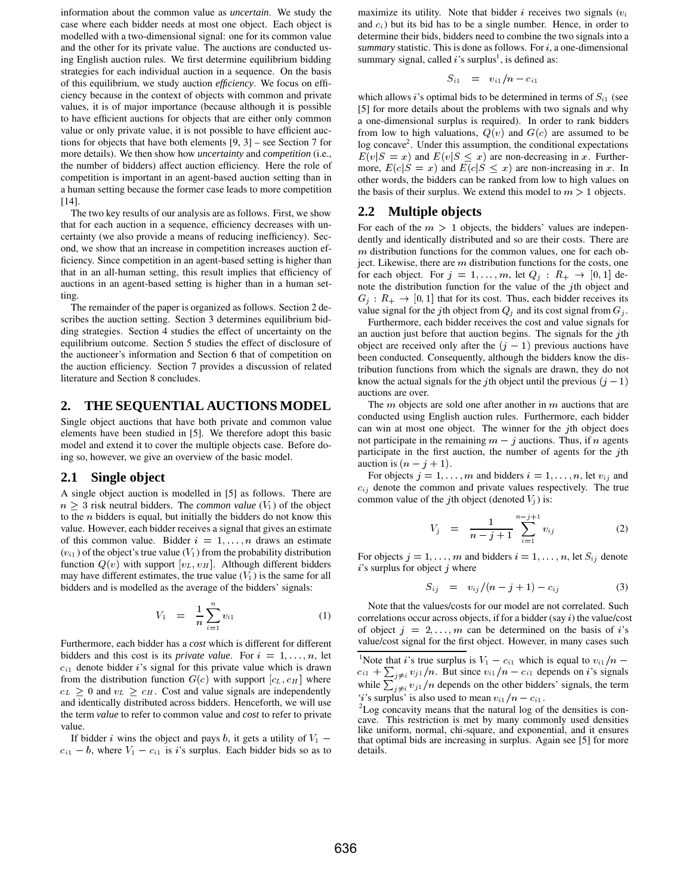information about the common value as *uncertain*. We study the case where each bidder needs at most one object. Each object is modelled with a two-dimensional signal: one for its common value and the other for its private value. The auctions are conducted using English auction rules. We first determine equilibrium bidding strategies for each individual auction in a sequence. On the basis of this equilibrium, we study auction *efficiency*. We focus on efficiency because in the context of objects with common and private values, it is of major importance (because although it is possible to have efficient auctions for objects that are either only common value or only private value, it is not possible to have efficient auctions for objects that have both elements [9, 3] – see Section 7 for more details). We then show how *uncertainty* and *competition* (i.e., the number of bidders) affect auction efficiency. Here the role of competition is important in an agent-based auction setting than in a human setting because the former case leads to more competition [14].

The two key results of our analysis are as follows. First, we show that for each auction in a sequence, efficiency decreases with uncertainty (we also provide a means of reducing inefficiency). Second, we show that an increase in competition increases auction efficiency. Since competition in an agent-based setting is higher than that in an all-human setting, this result implies that efficiency of auctions in an agent-based setting is higher than in a human setting.

The remainder of the paper is organized as follows. Section 2 describes the auction setting. Section 3 determines equilibrium bidding strategies. Section 4 studies the effect of uncertainty on the equilibrium outcome. Section 5 studies the effect of disclosure of the auctioneer's information and Section 6 that of competition on the auction efficiency. Section 7 provides a discussion of related literature and Section 8 concludes.

#### **2. THE SEQUENTIAL AUCTIONS MODEL**

Single object auctions that have both private and common value elements have been studied in [5]. We therefore adopt this basic model and extend it to cover the multiple objects case. Before doing so, however, we give an overview of the basic model.

# **2.1 Single object**

A single object auction is modelled in [5] as follows. There are  $n \geq 3$  risk neutral bidders. The *common value* ( $V_1$ ) of the object to the  $n$  bidders is equal, but initially the bidders do not know this value. However, each bidder receives a signal that gives an estimate of this common value. Bidder  $i = 1, \ldots, n$  draws an estimate  $(v_{i1})$  of the object's true value  $(V_1)$  from the probability distribution function  $Q(v)$  with support  $[v_L, v_H]$ . Although different bidders may have different estimates, the true value  $(V_1)$  is the same for all bidders and is modelled as the average of the bidders' signals:

$$
V_1 = \frac{1}{n} \sum_{i=1}^n v_{i1} \tag{1}
$$

Furthermore, each bidder has a *cost* which is different for different bidders and this cost is its *private value*. For  $i = 1, \ldots, n$ , let  $c_{i1}$  denote bidder i's signal for this private value which is drawn from the distribution function  $G(c)$  with support  $[c_L, c_H]$  where  $c_L \geq 0$  and  $v_L \geq c_H$ . Cost and value signals are independently and identically distributed across bidders. Henceforth, we will use the term *value* to refer to common value and *cost* to refer to private value.

If bidder i wins the object and pays b, it gets a utility of  $V_1$  – that optimum $c_{i1} - b$ , where  $V_1 - c_{i1}$  is *i*'s surplus. Each bidder bids so as to

maximize its utility. Note that bidder  $i$  receives two signals  $(v_i)$ and  $c_i$ ) but its bid has to be a single number. Hence, in order to determine their bids, bidders need to combine the two signals into a  $summary$  statistic. This is done as follows. For  $i$ , a one-dimensional summary signal, called  $i$ 's surplus<sup>1</sup>, is defined as:

$$
S_{i1} = v_{i1}/n - c_{i1}
$$

which allows *i*'s optimal bids to be determined in terms of  $S_{i1}$  (see [5] for more details about the problems with two signals and why a one-dimensional surplus is required). In order to rank bidders from low to high valuations,  $Q(v)$  and  $G(c)$  are assumed to be log concave<sup>2</sup>. Under this assumption, the conditional expectations  $E(v|S = x)$  and  $E(v|S \leq x)$  are non-decreasing in x. Furthermore,  $E(c|S = x)$  and  $E(c|S \leq x)$  are non-increasing in x. In other words, the bidders can be ranked from low to high values on the basis of their surplus. We extend this model to  $m > 1$  objects.

#### **2.2 Multiple objects**

For each of the  $m > 1$  objects, the bidders' values are independently and identically distributed and so are their costs. There are  $m$  distribution functions for the common values, one for each object. Likewise, there are  $m$  distribution functions for the costs, one for each object. For  $j = 1, ..., m$ , let  $Q_j : R_+ \to [0, 1]$  denote the distribution function for the value of the  $j$ th object and  $G_j: R_+ \to [0, 1]$  that for its cost. Thus, each bidder receives its value signal for the jth object from  $Q_j$  and its cost signal from  $G_j$ .

Furthermore, each bidder receives the cost and value signals for an auction just before that auction begins. The signals for the  $j$ th object are received only after the  $(j - 1)$  previous auctions have been conducted. Consequently, although the bidders know the distribution functions from which the signals are drawn, they do not know the actual signals for the *j*th object until the previous  $(i - 1)$  $\overline{\phantom{a}}$ auctions are over.

The  $m$  objects are sold one after another in  $m$  auctions that are conducted using English auction rules. Furthermore, each bidder can win at most one object. The winner for the  $j$ th object does not participate in the remaining  $m - j$  auctions. Thus, if  $n$  agents participate in the first auction, the number of agents for the  $j$ th auction is  $(n-j+1)$ .

For objects  $j = 1, \ldots, m$  and bidders  $i = 1, \ldots, n$ , let  $v_{ij}$  and  $c_{ij}$  denote the common and private values respectively. The true common value of the jth object (denoted  $V_i$ ) is:

$$
V_j = \frac{1}{n-j+1} \sum_{i=1}^{n-j+1} v_{ij}
$$
 (2)

For objects  $j = 1, \ldots, m$  and bidders  $i = 1, \ldots, n$ , let  $S_{ij}$  denote  $i$ 's surplus for object  $j$  where

$$
S_{ij} = v_{ij}/(n-j+1) - c_{ij}
$$
 (3)

Note that the values/costs for our model are not correlated. Such correlations occur across objects, if for a bidder (say  $i$ ) the value/cost of object  $j = 2, \ldots, m$  can be determined on the basis of i's value/cost signal for the first object. However, in many cases such

<sup>1</sup>Note that *i*'s true surplus is  $V_1 - c_{i1}$  which is equal to  $v_{i1}/n$  $c_{i1} + \sum_{i \neq i} v_{i1}/n$ . But since  $v_{i1}/n - c_{i1}$  depends on *i*'s signals while  $\sum_{i \neq i} v_{i1}/n$  depends on the other bidders' signals, the term '*i*'s surplus' is also used to mean  $v_{i1}/n - c_{i1}$ .

 $2$ Log concavity means that the natural log of the densities is concave. This restriction is met by many commonly used densities like uniform, normal, chi-square, and exponential, and it ensures that optimal bids are increasing in surplus. Again see [5] for more details.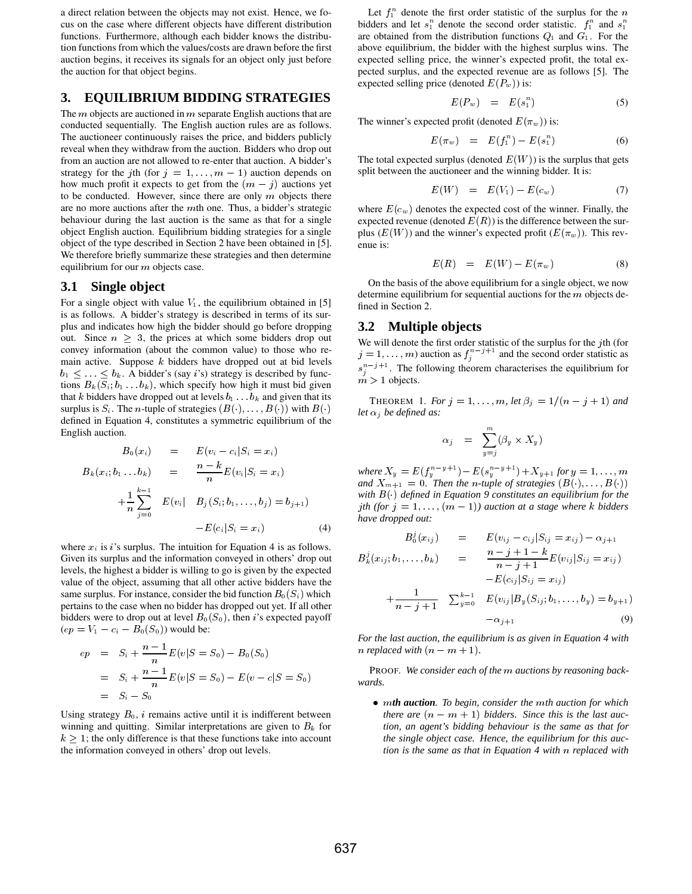a direct relation between the objects may not exist. Hence, we focus on the case where different objects have different distribution functions. Furthermore, although each bidder knows the distribution functions from which the values/costs are drawn before the first auction begins, it receives its signals for an object only just before the auction for that object begins.

# **3. EQUILIBRIUM BIDDING STRATEGIES**

The  $m$  objects are auctioned in  $m$  separate English auctions that are conducted sequentially. The English auction rules are as follows. The auctioneer continuously raises the price, and bidders publicly reveal when they withdraw from the auction. Bidders who drop out from an auction are not allowed to re-enter that auction. A bidder's strategy for the jth (for  $j = 1, \ldots, m - 1$ ) auction depends on how much profit it expects to get from the  $(m - j)$  auctions yet to be conducted. However, since there are only  $m$  objects there are no more auctions after the mth one. Thus, a bidder's strategic behaviour during the last auction is the same as that for a single object English auction. Equilibrium bidding strategies for a single object of the type described in Section 2 have been obtained in [5]. We therefore briefly summarize these strategies and then determine equilibrium for our  $m$  objects case.

#### **3.1 Single object**

For a single object with value  $V_1$ , the equilibrium obtained in [5] is as follows. A bidder's strategy is described in terms of its surplus and indicates how high the bidder should go before dropping out. Since  $n \geq 3$ , the prices at which some bidders drop out convey information (about the common value) to those who remain active. Suppose  $k$  bidders have dropped out at bid levels  $b_1 \leq \ldots \leq b_k$ . A bidder's (say *i*'s) strategy is described by functions  $B_k(S_i; b_1 \ldots b_k)$ , which specify how high it must bid given that  $k$  bidders have dropped out at levels  $b_1 \ldots b_k$  and given that its surplus is  $S_i$ . The *n*-tuple of strategies  $(B(\cdot), \ldots, B(\cdot))$  with  $B(\cdot)$ defined in Equation 4, constitutes a symmetric equilibrium of the English auction.

$$
B_0(x_i) = E(v_i - c_i | S_i = x_i)
$$
  
\n
$$
B_k(x_i; b_1 \dots b_k) = \frac{n-k}{n} E(v_i | S_i = x_i)
$$
  
\n
$$
+ \frac{1}{n} \sum_{j=0}^{k-1} E(v_i | B_j(S_i; b_1, \dots, b_j) = b_{j+1})
$$
  
\n
$$
-E(c_i | S_i = x_i)
$$
\n(4)

where  $x_i$  is *i*'s surplus. The intuition for Equation 4 is as follows. Given its surplus and the information conveyed in others' drop out levels, the highest a bidder is willing to go is given by the expected value of the object, assuming that all other active bidders have the same surplus. For instance, consider the bid function  $B_0(S_i)$  which pertains to the case when no bidder has dropped out yet. If all other bidders were to drop out at level  $B_0(S_0)$ , then *i*'s expected payoff  $(ep = V_1 - c_i - B_0(S_0))$  would be:

$$
ep = S_i + \frac{n-1}{n}E(v|S = S_0) - B_0(S_0)
$$
  
=  $S_i + \frac{n-1}{n}E(v|S = S_0) - E(v - c|S = S_0)$   
=  $S_i - S_0$ 

Using strategy  $B_0$ , *i* remains active until it is indifferent between winning and quitting. Similar interpretations are given to  $B_k$  for  $k \geq 1$ ; the only difference is that these functions take into account the information conveyed in others' drop out levels.

Let  $f_1^n$  denote the first order statistic of the surplus for the n bidders and let  $s_1^n$  denote the second order statistic.  $f_1^n$  and  $s_1^n$ are obtained from the distribution functions  $Q_1$  and  $G_1$ . For the above equilibrium, the bidder with the highest surplus wins. The expected selling price, the winner's expected profit, the total expected surplus, and the expected revenue are as follows [5]. The expected selling price (denoted  $E(P_w)$ ) is:

$$
E(P_w) = E(s_1^n) \tag{5}
$$

The winner's expected profit (denoted  $E(\pi_w)$ ) is:

$$
E(\pi_w) = E(f_1^n) - E(s_1^n) \tag{6}
$$

The total expected surplus (denoted  $E(W)$ ) is the surplus that gets split between the auctioneer and the winning bidder. It is:

$$
E(W) = E(V_1) - E(c_w) \tag{7}
$$

where  $E(c_w)$  denotes the expected cost of the winner. Finally, the expected revenue (denoted  $E(R)$ ) is the difference between the surplus  $(E(W))$  and the winner's expected profit  $(E(\pi_w))$ . This revenue is:

$$
E(R) = E(W) - E(\pi_w) \tag{8}
$$

On the basis of the above equilibrium for a single object, we now determine equilibrium for sequential auctions for the  $m$  objects defined in Section 2.

#### **3.2 Multiple objects**

We will denote the first order statistic of the surplus for the  $j$ th (for  $j = 1, \ldots, m$  auction as  $f_j^{n-j+1}$  and the second order statistic as  $s_i^{n-j+1}$ . The following theorem characterises the equilibrium for  $m > 1$  objects.

THEOREM 1. *For*  $j = 1, ..., m$ , let  $\beta_j = 1/(n-j+1)$  and *let*  $\alpha_i$  *be defined as:* 

$$
\alpha_j = \sum_{y=j}^m (\beta_y \times X_y)
$$

 $where X_y = E(f_y^{n-y+1}) - E(s_y^{n-y+1}) + X_{y+1}$  for  $y = 1, ..., m$ <br>and  $X_{m+1} = 0$ . Then the *n*-tuple of strategies  $(B(\cdot), ..., B(\cdot))$ *with defined in Equation 9 constitutes an equilibrium for the j*th (for  $j = 1, ..., (m - 1)$ ) auction at a stage where k bidders *have dropped out:*

$$
B_0^j(x_{ij}) = E(v_{ij} - c_{ij}|S_{ij} = x_{ij}) - \alpha_{j+1}
$$
  
\n
$$
B_k^j(x_{ij}; b_1, \ldots, b_k) = \frac{n-j+1-k}{n-j+1} E(v_{ij}|S_{ij} = x_{ij})
$$
  
\n
$$
+ \frac{1}{n-j+1} \sum_{y=0}^{k-1} E(v_{ij}|B_y(S_{ij}; b_1, \ldots, b_y) = b_{y+1})
$$
  
\n
$$
-\alpha_{j+1}
$$
 (9)

*For the last auction, the equilibrium is as given in Equation 4 with n* replaced with  $(n - m + 1)$ .

PROOF. We consider each of the *m* auctions by reasoning back*wards.*

• mth auction. To begin, consider the mth auction for which *there are*  $(n - m + 1)$  bidders. Since this is the last auc*tion, an agent's bidding behaviour is the same as that for the single object case. Hence, the equilibrium for this auction is the same as that in Equation 4 with n replaced with*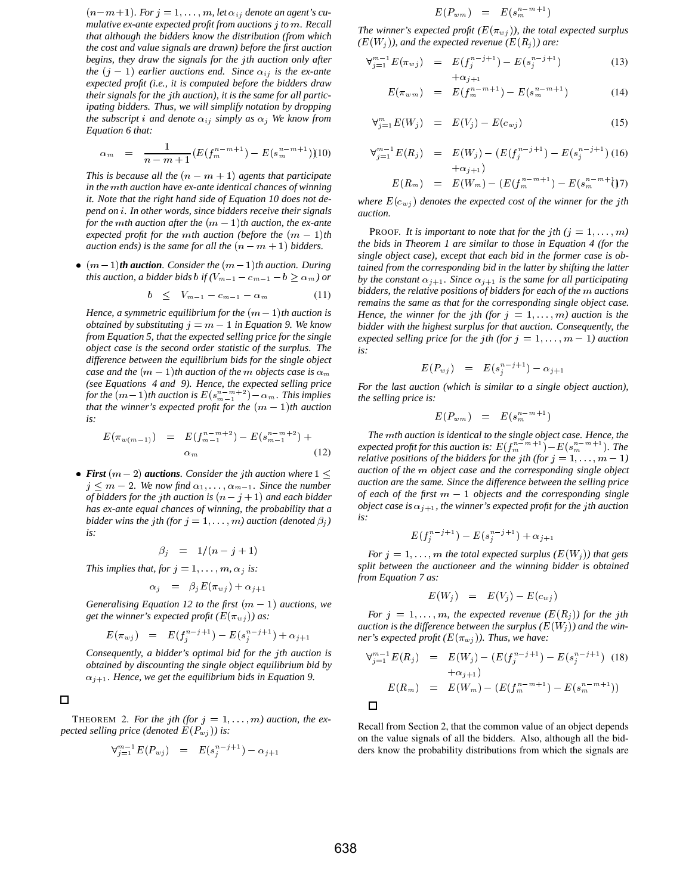$(n-m+1)$ . For  $j=1,\ldots,m$ , let  $\alpha_{ij}$  denote an agent's cu*mulative ex-ante expected profit from auctions to . Recall that although the bidders know the distribution (from which the cost and value signals are drawn) before the first auction begins, they draw the signals for the th auction only after the*  $(j - 1)$  *earlier auctions end. Since*  $\alpha_{ij}$  *is the ex-ante expected profit (i.e., it is computed before the bidders draw their signals for the th auction), it is the same for all participating bidders. Thus, we will simplify notation by dropping the subscript i and denote*  $\alpha_{ij}$  simply as  $\alpha_j$  We know from *Equation 6 that:*

$$
\alpha_m = \frac{1}{n-m+1} (E(f_m^{n-m+1}) - E(s_m^{n-m+1}))10)
$$

*This is because all the*  $(n - m + 1)$  *agents that participate in the mth auction have ex-ante identical chances of winning it. Note that the right hand side of Equation 10 does not de* $p$ end on *i*. In other words, since bidders receive their signals *for the mth auction after the*  $(m-1)$ *th auction, the ex-ante expected profit for the mth auction (before the*  $(m-1)$ *th auction ends) is the same for all the*  $(n - m + 1)$  *bidders.* 

•  $(m-1)$ **th auction**. Consider the  $(m-1)$ <sup>th</sup> auction. During *this auction, a bidder bids b if*  $(V_{m-1} - c_{m-1} - b \ge \alpha_m)$  *or* 

$$
b \leq V_{m-1} - c_{m-1} - \alpha_m \tag{11}
$$

 $Hence, a symmetric equilibrium for the  $(m-1)th$  auction is$ *obtained by substituting*  $j = m - 1$  *in Equation 9. We know from Equation 5, that the expected selling price for the single object case is the second order statistic of the surplus. The difference between the equilibrium bids for the single object*  $case$  and the  $(m-1)$ th auction of the  $m$  objects case is  $\alpha_m$ *(see Equations 4 and 9). Hence, the expected selling price* for the  $(m-1)$ th auction is  $E(s_{m-1}^{n-m+2}) - \alpha_m$ . This implies *that the winner's expected profit for the*  $(m-1)$ *th auction is:*

$$
E(\pi_{w(m-1)}) = E(f_{m-1}^{n-m+2}) - E(s_{m-1}^{n-m+2}) + \alpha_m \tag{12}
$$

• **First**  $(m-2)$  **auctions***. Consider the jth auction where* 1  $j \leq m-2$ . We now find  $\alpha_1, \ldots, \alpha_{m-1}$ . Since the number *of bidders for the jth auction is*  $(n - j + 1)$  *and each bidder has ex-ante equal chances of winning, the probability that a bidder wins the jth (for*  $j = 1, ..., m$ *) auction (denoted*  $\beta_j$ ) *is:*

$$
\beta_i = 1/(n-j+1)
$$

*This implies that, for*  $j = 1, \ldots, m$ ,  $\alpha_j$  *is:* 

$$
\alpha_j = \beta_j E(\pi_{wj}) + \alpha_{j+1}
$$

*Generalising Equation 12 to the first*  $(m - 1)$  *auctions, we get the winner's expected profit*  $(E(\pi_{w_i}))$  *as:* 

$$
E(\pi_{w,j}) = E(f_j^{n-j+1}) - E(s_j^{n-j+1}) + \alpha_{j+1}
$$

*Consequently, a bidder's optimal bid for the th auction is obtained by discounting the single object equilibrium bid by*  $\alpha_{j+1}$ . Hence, we get the equilibrium bids in Equation 9.

 $\Box$ 

THEOREM 2. For the *j*th (for  $j = 1, ..., m$ ) auction, the ex*pected selling price (denoted*  $E(P_{wj})$ ) is:

$$
\forall_{j=1}^{m-1} E(P_{wj}) = E(s_j^{n-j+1}) - \alpha_{j+1}
$$

$$
E(P_{wm})\quad =\quad E(s_m^{n-m+1})
$$

*The winner's expected profit*  $(E(\pi_{wj}))$ *, the total expected surplus*  $(E(W_j))$ , and the expected revenue  $(E(R_j))$  are:

$$
\forall_{j=1}^{m-1} E(\pi_{wj}) = E(f_j^{n-j+1}) - E(s_j^{n-j+1})
$$
\n
$$
+ \alpha_{i+1}
$$
\n(13)

$$
E(\pi_{wm}) = E(f_m^{n-m+1}) - E(s_m^{n-m+1}) \tag{14}
$$

$$
\forall_{j=1}^{m} E(W_j) = E(V_j) - E(c_{wj}) \tag{15}
$$

$$
\forall_{j=1}^{m-1} E(R_j) = E(W_j) - (E(f_j^{n-j+1}) - E(s_j^{n-j+1}) \tag{16}
$$
  
 
$$
+ \alpha_{i+1})
$$

$$
E(R_m) = E(W_m) - (E(f_m^{n-m+1}) - E(s_m^{n-m+1})7)
$$

where  $E(c_{w,i})$  denotes the expected cost of the winner for the *j*th *auction.*

PROOF. It is important to note that for the *j*th  $(j = 1, \ldots, m)$ *the bids in Theorem 1 are similar to those in Equation 4 (for the single object case), except that each bid in the former case is obtained from the corresponding bid in the latter by shifting the latter* by the constant  $\alpha_{j+1}$ . Since  $\alpha_{j+1}$  is the same for all participating *bidders, the relative positions of bidders for each of the auctions remains the same as that for the corresponding single object case. Hence, the winner for the jth (for*  $j = 1, \ldots, m$ ) *auction is the bidder with the highest surplus for that auction. Consequently, the expected selling price for the jth (for*  $j = 1, ..., m - 1$ ) *auction is:*

$$
E(P_{wj}) = E(s_j^{n-j+1}) - \alpha_{j+1}
$$

*For the last auction (which is similar to a single object auction), the selling price is:*

$$
E(P_{wm}) = E(s_m^{n-m+1})
$$

 $T_{m-1}^{(n-m+2)}$  + The mth auction is identical to the single object case. Hence, the *auction are the same. Since the difference between the selling price*  $expected\; profit\;for\;this\; auction\;is\colon E(f_m^{n-m+1})-E(s_m^{n-m+1}).$  The *relative positions of the bidders for the jth (for*  $j = 1, \ldots, m - 1$ *) auction of the object case and the corresponding single object*  $of$  each of the first  $m-1$  objects and the corresponding single *object case is*  $\alpha_{j+1}$ *, the winner's expected profit for the jth auction is:*

$$
E(f_j^{n-j+1}) - E(s_j^{n-j+1}) + \alpha_{j+1}
$$

For  $j = 1, \ldots, m$  the total expected surplus  $(E(W_j))$  that gets *split between the auctioneer and the winning bidder is obtained from Equation 7 as:*

$$
E(W_j) = E(V_j) - E(c_{wj})
$$

For  $j = 1, \ldots, m$ , the expected revenue  $(E(R_j))$  for the jth *auction is the difference between the surplus*  $(E(W<sub>j</sub>))$  *and the winner's expected profit*  $(E(\pi_{wj}))$ *. Thus, we have:* 

$$
\forall_{j=1}^{m-1} E(R_j) = E(W_j) - (E(f_j^{n-j+1}) - E(s_j^{n-j+1}) \quad (18)
$$
  
+ $\alpha_{j+1}$ )  

$$
E(R_m) = E(W_m) - (E(f_m^{n-m+1}) - E(s_m^{n-m+1}))
$$
  

$$
\Box
$$

Recall from Section 2, that the common value of an object depends on the value signals of all the bidders. Also, although all the bidders know the probability distributions from which the signals are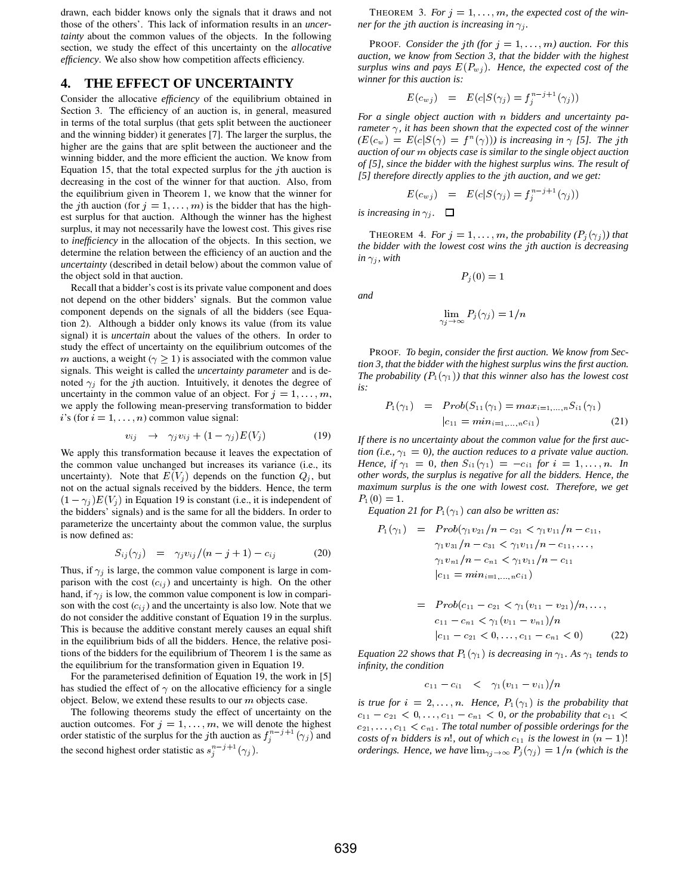drawn, each bidder knows only the signals that it draws and not those of the others'. This lack of information results in an *uncertainty* about the common values of the objects. In the following section, we study the effect of this uncertainty on the *allocative efficiency*. We also show how competition affects efficiency.

#### **4. THE EFFECT OF UNCERTAINTY**

Consider the allocative *efficiency* of the equilibrium obtained in Section 3. The efficiency of an auction is, in general, measured in terms of the total surplus (that gets split between the auctioneer and the winning bidder) it generates [7]. The larger the surplus, the higher are the gains that are split between the auctioneer and the winning bidder, and the more efficient the auction. We know from Equation 15, that the total expected surplus for the  $\gamma$ th auction is decreasing in the cost of the winner for that auction. Also, from the equilibrium given in Theorem 1, we know that the winner for the jth auction (for  $j = 1, \ldots, m$ ) is the bidder that has the highest surplus for that auction. Although the winner has the highest surplus, it may not necessarily have the lowest cost. This gives rise to *inefficiency* in the allocation of the objects. In this section, we determine the relation between the efficiency of an auction and the *uncertainty* (described in detail below) about the common value of the object sold in that auction.

Recall that a bidder's cost is its private value component and does not depend on the other bidders' signals. But the common value component depends on the signals of all the bidders (see Equation 2). Although a bidder only knows its value (from its value signal) it is *uncertain* about the values of the others. In order to study the effect of uncertainty on the equilibrium outcomes of the m auctions, a weight ( $\gamma \geq 1$ ) is associated with the common value signals. This weight is called the *uncertainty parameter* and is denoted  $\gamma_j$  for the *j*th auction. Intuitively, it denotes the degree of uncertainty in the common value of an object. For  $j = 1, \ldots, m$ , we apply the following mean-preserving transformation to bidder  $i$ 's (for  $i = 1, \ldots, n$ ) common value signal:

$$
v_{ij} \rightarrow \gamma_j v_{ij} + (1 - \gamma_j)E(V_j) \tag{19}
$$

We apply this transformation because it leaves the expectation of the common value unchanged but increases its variance (i.e., its uncertainty). Note that  $E(V_j)$  depends on the function  $Q_j$ , but not on the actual signals received by the bidders. Hence, the term  $(1 - \gamma_i) E(V_i)$  in Equation 19 is constant (i.e., it is independent of the bidders' signals) and is the same for all the bidders. In order to parameterize the uncertainty about the common value, the surplus is now defined as:

$$
S_{ij}(\gamma_j) = \gamma_j v_{ij}/(n-j+1) - c_{ij} \tag{20}
$$

Thus, if  $\gamma_j$  is large, the common value component is large in comparison with the cost  $(c_{ij})$  and uncertainty is high. On the other hand, if  $\gamma_i$  is low, the common value component is low in comparison with the cost  $(c_{ij})$  and the uncertainty is also low. Note that we do not consider the additive constant of Equation 19 in the surplus. This is because the additive constant merely causes an equal shift in the equilibrium bids of all the bidders. Hence, the relative positions of the bidders for the equilibrium of Theorem 1 is the same as the equilibrium for the transformation given in Equation 19.

For the parameterised definition of Equation 19, the work in [5] has studied the effect of  $\gamma$  on the allocative efficiency for a single object. Below, we extend these results to our  $m$  objects case.

The following theorems study the effect of uncertainty on the auction outcomes. For  $j = 1, \ldots, m$ , we will denote the highest order statistic of the surplus for the *j*th auction as  $f_i^{n-j+1}(\gamma_j)$  and the second highest order statistic as  $s_i^{n-j+1}(\gamma_j)$ .

THEOREM 3. For  $j = 1, \ldots, m$ , the expected cost of the win*ner for the jth auction is increasing in*  $\gamma_i$ .

**PROOF.** Consider the jth (for  $j = 1, ..., m$ ) auction. For this *auction, we know from Section 3, that the bidder with the highest* surplus wins and pays  $E(P_{wj})$ . Hence, the expected cost of the *winner for this auction is:*

$$
E(c_{wj}) = E(c|S(\gamma_j) = f_j^{n-j+1}(\gamma_j))
$$

*For a single object auction with bidders and uncertainty parameter*  $\gamma$ *, it has been shown that the expected cost of the winner*  $\mathcal{L}(E(c_w)) = E(c|S(\gamma)) = f^n(\gamma))$  is increasing in  $\gamma$  [5]. The jth *auction of our objects case is similar to the single object auction of [5], since the bidder with the highest surplus wins. The result of [5] therefore directly applies to the th auction, and we get:*

$$
E(c_{wj}) = E(c|S(\gamma_j) = f_j^{n-j+1}(\gamma_j))
$$

*is increasing in*  $\gamma_i$ .  $\Box$ 

*and*

THEOREM 4. *For*  $j = 1, \ldots, m$ , the probability  $(P_j(\gamma_j))$  that *the bidder with the lowest cost wins the th auction is decreasing in*  $\gamma_i$ *, with* 

$$
P_j(0)=1
$$

$$
\lim_{\gamma_j\to\infty}P_j(\gamma_j)=1/n
$$

PROOF. *To begin, consider the first auction. We know from Section 3, that the bidder with the highest surplus wins the first auction. The probability*  $(P_1(\gamma_1))$  *that this winner also has the lowest cost is:*

$$
P_1(\gamma_1) = Prob(S_{11}(\gamma_1) = max_{i=1,...,n} S_{i1}(\gamma_1)
$$
  

$$
|c_{11} = min_{i=1,...,n} c_{i1})
$$
 (21)

*If there is no uncertainty about the common value for the first auction (i.e.,*  $\gamma_1 = 0$ *), the auction reduces to a private value auction. Hence, if*  $\gamma_1 = 0$ *, then*  $S_{i1}(\gamma_1) = -c_{i1}$  for  $i = 1, ..., n$ . In *other words, the surplus is negative for all the bidders. Hence, the maximum surplus is the one with lowest cost. Therefore, we get*  $P_1(0) = 1.$ 

*Equation 21 for*  $P_1(\gamma_1)$  *can also be written as:* 

$$
P_1(\gamma_1) = \text{Prob}(\gamma_1 v_{21}/n - c_{21} < \gamma_1 v_{11}/n - c_{11},
$$
\n
$$
\gamma_1 v_{31}/n - c_{31} < \gamma_1 v_{11}/n - c_{11}, \dots,
$$
\n
$$
\gamma_1 v_{n1}/n - c_{n1} < \gamma_1 v_{11}/n - c_{11}
$$
\n
$$
|c_{11} = \text{min}_{i=1,\dots,n} c_{i1})
$$

$$
= Prob(c_{11} - c_{21} < \gamma_1(v_{11} - v_{21})/n, ..., \nc_{11} - c_{n1} < \gamma_1(v_{11} - v_{n1})/n \n|c_{11} - c_{21} < 0, ..., c_{11} - c_{n1} < 0)
$$
\n(22)

*Equation 22 shows that*  $P_1(\gamma_1)$  *is decreasing in*  $\gamma_1$ *. As*  $\gamma_1$  *tends to infinity, the condition*

$$
c_{11}-c_{i1} \quad < \quad \gamma_1(v_{11}-v_{i1})/n
$$

*is true for*  $i = 2, \ldots, n$ . Hence,  $P_1(\gamma_1)$  *is the probability that*  $c_{11} - c_{21} < 0, \ldots, c_{11} - c_{n1} < 0$ , or the probability that  $c_{11} <$  $c_{21}, \ldots, c_{11} < c_{n1}$ . The total number of possible orderings for the *costs of n* bidders is *n*!, out of which  $c_{11}$  is the lowest in  $(n - 1)!$ *orderings. Hence, we have*  $\lim_{\gamma_i \to \infty} P_i(\gamma_i) = 1/n$  (which is the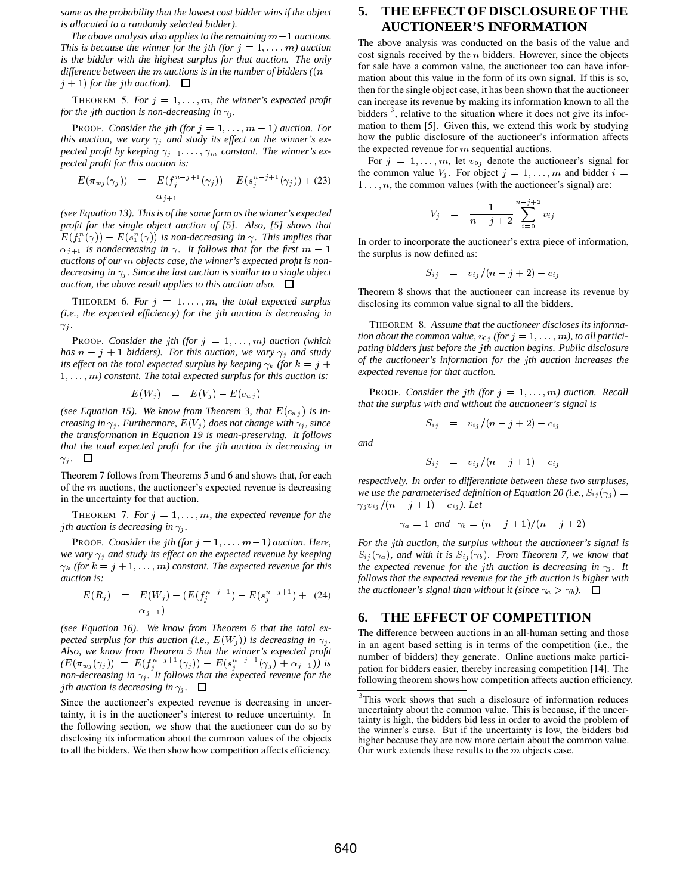*same as the probability that the lowest cost bidder wins if the object is allocated to a randomly selected bidder).*

The above analysis also applies to the remaining  $m-1$  auctions. *This is because the winner for the jth (for*  $j = 1, \ldots, m$ ) *auction is the bidder with the highest surplus for that auction. The only difference between the m auctions is in the number of bidders (* $(n$  $j + 1$  for the *j*th auction).

THEOREM 5. For  $j = 1, \ldots, m$ , the winner's expected profit *for the jth auction is non-decreasing in*  $\gamma_j$ .

**PROOF.** Consider the jth (for  $j = 1, ..., m - 1$ ) auction. For *this auction, we vary*  $\gamma_i$  *and study its effect on the winner's expected profit by keeping*  $\gamma_{j+1}, \ldots, \gamma_m$  *constant. The winner's expected profit for this auction is:*

$$
E(\pi_{w,j}(\gamma_j)) = E(f_j^{n-j+1}(\gamma_j)) - E(s_j^{n-j+1}(\gamma_j)) + (23) \quad \text{if } \quad 1 \ldots
$$
  

$$
\alpha_{j+1}
$$

*(see Equation 13). This is of the same form as the winner's expected profit for the single object auction of [5]. Also, [5] shows that*  $E(f_1^n(\gamma)) - E(s_1^n(\gamma))$  is non-decreasing in  $\gamma$ . This implies that  $\alpha_{j+1}$  is nondecreasing in  $\gamma$ . It follows that for the first  $m-1$  the sum *auctions of our objects case, the winner's expected profit is nondecreasing in*  $\gamma_i$ *. Since the last auction is similar to a single object auction, the above result applies to this auction also.*  $\Box$ 

THEOREM 6. For  $j = 1, \ldots, m$ , the total expected surplus *(i.e., the expected efficiency) for the th auction is decreasing in*  $\gamma_i$ .

**PROOF.** Consider the jth (for  $j = 1, ..., m$ ) auction (which has  $n - j + 1$  bidders). For this auction, we vary  $\gamma_j$  and study *its effect on the total expected surplus by keeping*  $\gamma_k$  (for  $k = j + j$ 1, ..., m) constant. The total expected surplus for this auction is:

$$
E(W_j) = E(V_j) - E(c_{wj})
$$

(see Equation 15). We know from Theorem 3, that  $E(c_{wj})$  is in*creasing in*  $\gamma_j$ *. Furthermore,*  $E(V_j)$  does not change with  $\gamma_j$ *, since the transformation in Equation 19 is mean-preserving. It follows that the total expected profit for the th auction is decreasing in*  $\gamma_j$ .  $\Box$ 

Theorem 7 follows from Theorems 5 and 6 and shows that, for each of the  $m$  auctions, the auctioneer's expected revenue is decreasing in the uncertainty for that auction.

THEOREM 7. For  $j = 1, \ldots, m$ , the expected revenue for the *j*th auction is decreasing in  $\gamma_i$ .

PROOF. *Consider the jth (for*  $j = 1, ..., m-1$ ) auction. Here, *we vary*  $\gamma_i$  *and study its effect on the expected revenue by keeping*  $\gamma_k$  (for  $k = j + 1, \ldots, m$ ) constant. The expected revenue for this *auction is:*

$$
E(R_j) = E(W_j) - (E(f_j^{n-j+1}) - E(s_j^{n-j+1}) + (24)
$$
  

$$
\alpha_{j+1})
$$

*(see Equation 16). We know from Theorem 6 that the total expected surplus for this auction (i.e.,*  $E(W_i)$ ) is decreasing in  $\gamma_i$ . *Also, we know from Theorem 5 that the winner's expected profit*  $(E(\pi_{wj}(\gamma_j)) = E(f_i^{n-j+1}(\gamma_j)) - E(s_i^{n-j+1}(\gamma_j) + \alpha_{j+1})$  is *non-decreasing in*  $\gamma_j$ *. It follows that the expected revenue for the j*th auction is decreasing in  $\gamma_i$ .  $\Box$ 

Since the auctioneer's expected revenue is decreasing in uncertainty, it is in the auctioneer's interest to reduce uncertainty. In the following section, we show that the auctioneer can do so by disclosing its information about the common values of the objects to all the bidders. We then show how competition affects efficiency.

# **5. THE EFFECT OF DISCLOSURE OF THE AUCTIONEER'S INFORMATION**

The above analysis was conducted on the basis of the value and cost signals received by the  $n$  bidders. However, since the objects for sale have a common value, the auctioneer too can have information about this value in the form of its own signal. If this is so, then for the single object case, it has been shown that the auctioneer can increase its revenue by making its information known to all the bidders<sup>3</sup>, relative to the situation where it does not give its information to them [5]. Given this, we extend this work by studying how the public disclosure of the auctioneer's information affects the expected revenue for  $m$  sequential auctions.

For  $j = 1, \ldots, m$ , let  $v_{0j}$  denote the auctioneer's signal for the common value  $V_j$ . For object  $j = 1, \ldots, m$  and bidder  $i =$  $1 \ldots, n$ , the common values (with the auctioneer's signal) are:

$$
V_j \quad = \quad \frac{1}{n-j+2} \sum_{i=0}^{n-j+2} v_{ij}
$$

 the surplus is now defined as: In order to incorporate the auctioneer's extra piece of information,

$$
S_{ij} = v_{ij}/(n-j+2) - c_{ij}
$$

Theorem 8 shows that the auctioneer can increase its revenue by disclosing its common value signal to all the bidders.

THEOREM 8. *Assume that the auctioneer discloses its information about the common value,*  $v_{0j}$  (for  $j = 1, \ldots, m$ ), to all partici*pating bidders just before the th auction begins. Public disclosure of the auctioneer's information for the th auction increases the expected revenue for that auction.*

**PROOF.** Consider the jth (for  $j = 1, \ldots, m$ ) auction. Recall *that the surplus with and without the auctioneer's signal is*

$$
S_{ij} = v_{ij}/(n-j+2) - c_{ij}
$$

*and*

$$
S_{ij} = v_{ij}/(n-j+1) - c_{ij}
$$

*respectively. In order to differentiate between these two surpluses, we use the parameterised definition of Equation 20 (i.e.,*  $S_{ij}(\gamma_j)$  *=*  $\gamma_j v_{ij}/(n-j+1) - c_{ij}$ ). Let

$$
\gamma_a = 1
$$
 and  $\gamma_b = (n - j + 1)/(n - j + 2)$ 

*For the jth auction, the surplus without the auctioneer's signal is*  $S_{ij}(\gamma_a)$ , and with it is  $S_{ij}(\gamma_b)$ . From Theorem 7, we know that *the expected revenue for the jth auction is decreasing in*  $\gamma_i$ *. It follows that the expected revenue for the th auction is higher with the auctioneer's signal than without it (since*  $\gamma_a > \gamma_b$ ).  $\Box$ 

#### **6. THE EFFECT OF COMPETITION**

The difference between auctions in an all-human setting and those in an agent based setting is in terms of the competition (i.e., the number of bidders) they generate. Online auctions make participation for bidders easier, thereby increasing competition [14]. The following theorem shows how competition affects auction efficiency.

<sup>&</sup>lt;sup>3</sup>This work shows that such a disclosure of information reduces uncertainty about the common value. This is because, if the uncertainty is high, the bidders bid less in order to avoid the problem of the winner's curse. But if the uncertainty is low, the bidders bid higher because they are now more certain about the common value. Our work extends these results to the  $m$  objects case.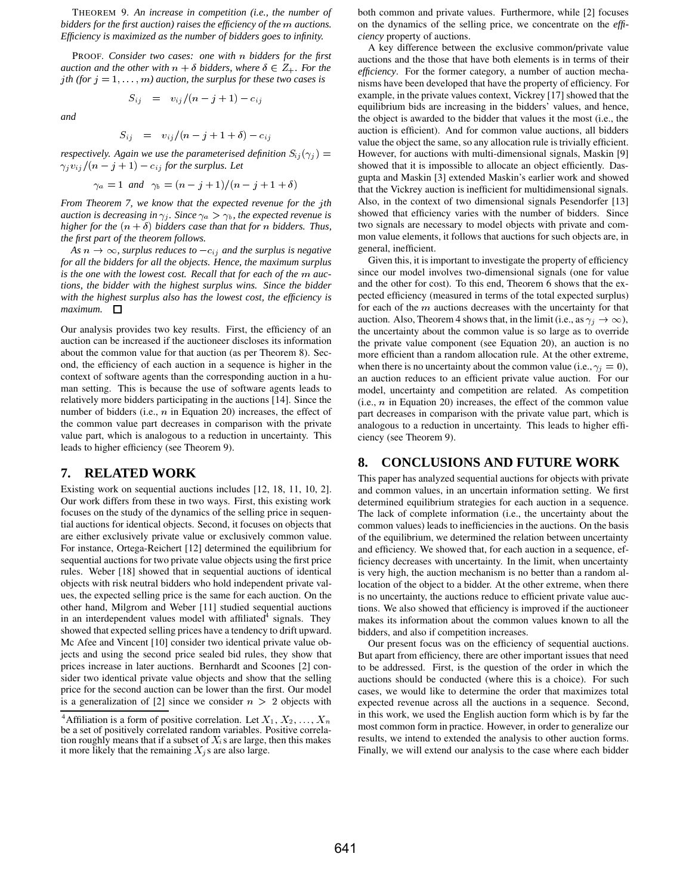THEOREM 9. *An increase in competition (i.e., the number of bidders for the first auction) raises the efficiency of the m auctions. Efficiency is maximized as the number of bidders goes to infinity.*

PROOF. *Consider two cases: one with bidders for the first auction and the other with*  $n + \delta$  *bidders, where*  $\delta \in Z_+$ *. For the j*th (for  $j = 1, \ldots, m$ ) auction, the surplus for these two cases is

*and*

$$
S_{ij} = v_{ij}/(n-j+1+\delta) - c_{ij}
$$

 $\mathcal{L}$   $\mathcal{L}$   $\mathcal{L}$   $\mathcal{L}$   $\mathcal{L}$   $\mathcal{L}$   $\mathcal{L}$   $\mathcal{L}$   $\mathcal{L}$   $\mathcal{L}$   $\mathcal{L}$   $\mathcal{L}$   $\mathcal{L}$   $\mathcal{L}$   $\mathcal{L}$   $\mathcal{L}$   $\mathcal{L}$   $\mathcal{L}$   $\mathcal{L}$   $\mathcal{L}$   $\mathcal{L}$   $\mathcal{L}$   $\mathcal{L}$   $\mathcal{L}$   $\mathcal{$ 

*respectively. Again we use the parameterised definition*  $S_{ij}(\gamma_j) =$  **However**  $\gamma_j v_{ij} / (n-j+1) - c_{ij}$  for the surplus. Let

$$
\gamma_a = 1
$$
 and  $\gamma_b = (n - j + 1)/(n - j + 1 + \delta)$ 

*From Theorem 7, we know that the expected revenue for the th auction is decreasing in*  $\gamma_i$ *. Since*  $\gamma_a > \gamma_b$ *, the expected revenue is higher for the*  $(n + \delta)$  *bidders case than that for n bidders. Thus, the first part of the theorem follows.*

As  $n \to \infty$ , surplus reduces to  $-c_{i,j}$  and the surplus is negative *for all the bidders for all the objects. Hence, the maximum surplus* is the one with the lowest cost. Recall that for each of the m auc*tions, the bidder with the highest surplus wins. Since the bidder with the highest surplus also has the lowest cost, the efficiency is maximum.*

Our analysis provides two key results. First, the efficiency of an auction can be increased if the auctioneer discloses its information about the common value for that auction (as per Theorem 8). Second, the efficiency of each auction in a sequence is higher in the context of software agents than the corresponding auction in a human setting. This is because the use of software agents leads to relatively more bidders participating in the auctions [14]. Since the number of bidders (i.e.,  $n$  in Equation 20) increases, the effect of the common value part decreases in comparison with the private value part, which is analogous to a reduction in uncertainty. This leads to higher efficiency (see Theorem 9).

#### **7. RELATED WORK**

Existing work on sequential auctions includes [12, 18, 11, 10, 2]. Our work differs from these in two ways. First, this existing work focuses on the study of the dynamics of the selling price in sequential auctions for identical objects. Second, it focuses on objects that are either exclusively private value or exclusively common value. For instance, Ortega-Reichert [12] determined the equilibrium for sequential auctions for two private value objects using the first price rules. Weber [18] showed that in sequential auctions of identical objects with risk neutral bidders who hold independent private values, the expected selling price is the same for each auction. On the other hand, Milgrom and Weber [11] studied sequential auctions in an interdependent values model with affiliated $<sup>4</sup>$  signals. They</sup> showed that expected selling prices have a tendency to drift upward. Mc Afee and Vincent [10] consider two identical private value objects and using the second price sealed bid rules, they show that prices increase in later auctions. Bernhardt and Scoones [2] consider two identical private value objects and show that the selling price for the second auction can be lower than the first. Our model is a generalization of [2] since we consider  $n > 2$  objects with

both common and private values. Furthermore, while [2] focuses on the dynamics of the selling price, we concentrate on the *efficiency* property of auctions.

A key difference between the exclusive common/private value auctions and the those that have both elements is in terms of their *efficiency*. For the former category, a number of auction mechanisms have been developed that have the property of efficiency. For example, in the private values context, Vickrey [17] showed that the equilibrium bids are increasing in the bidders' values, and hence, the object is awarded to the bidder that values it the most (i.e., the auction is efficient). And for common value auctions, all bidders value the object the same, so any allocation rule is trivially efficient. However, for auctions with multi-dimensional signals, Maskin [9] showed that it is impossible to allocate an object efficiently. Dasgupta and Maskin [3] extended Maskin's earlier work and showed that the Vickrey auction is inefficient for multidimensional signals. Also, in the context of two dimensional signals Pesendorfer [13] showed that efficiency varies with the number of bidders. Since two signals are necessary to model objects with private and common value elements, it follows that auctions for such objects are, in general, inefficient.

Given this, it is important to investigate the property of efficiency since our model involves two-dimensional signals (one for value and the other for cost). To this end, Theorem 6 shows that the expected efficiency (measured in terms of the total expected surplus) for each of the  $m$  auctions decreases with the uncertainty for that auction. Also, Theorem 4 shows that, in the limit (i.e., as  $\gamma_j \to \infty$ ), the uncertainty about the common value is so large as to override the private value component (see Equation 20), an auction is no more efficient than a random allocation rule. At the other extreme, when there is no uncertainty about the common value (i.e.,  $\gamma_i = 0$ ), an auction reduces to an efficient private value auction. For our model, uncertainty and competition are related. As competition (i.e.,  $n$  in Equation 20) increases, the effect of the common value part decreases in comparison with the private value part, which is analogous to a reduction in uncertainty. This leads to higher efficiency (see Theorem 9).

#### **8. CONCLUSIONS AND FUTURE WORK**

This paper has analyzed sequential auctions for objects with private and common values, in an uncertain information setting. We first determined equilibrium strategies for each auction in a sequence. The lack of complete information (i.e., the uncertainty about the common values) leads to inefficiencies in the auctions. On the basis of the equilibrium, we determined the relation between uncertainty and efficiency. We showed that, for each auction in a sequence, efficiency decreases with uncertainty. In the limit, when uncertainty is very high, the auction mechanism is no better than a random allocation of the object to a bidder. At the other extreme, when there is no uncertainty, the auctions reduce to efficient private value auctions. We also showed that efficiency is improved if the auctioneer makes its information about the common values known to all the bidders, and also if competition increases.

Our present focus was on the efficiency of sequential auctions. But apart from efficiency, there are other important issues that need to be addressed. First, is the question of the order in which the auctions should be conducted (where this is a choice). For such cases, we would like to determine the order that maximizes total expected revenue across all the auctions in a sequence. Second, in this work, we used the English auction form which is by far the most common form in practice. However, in order to generalize our results, we intend to extended the analysis to other auction forms. Finally, we will extend our analysis to the case where each bidder

<sup>&</sup>lt;sup>4</sup>Affiliation is a form of positive correlation. Let  $X_1, X_2, ..., X_n$ <sup>111</sup> be a set of positively correlated random variables. Positive correlation roughly means that if a subset of  $X_i$ s are large, then this makes it more likely that the remaining  $X_i$ s are also large.